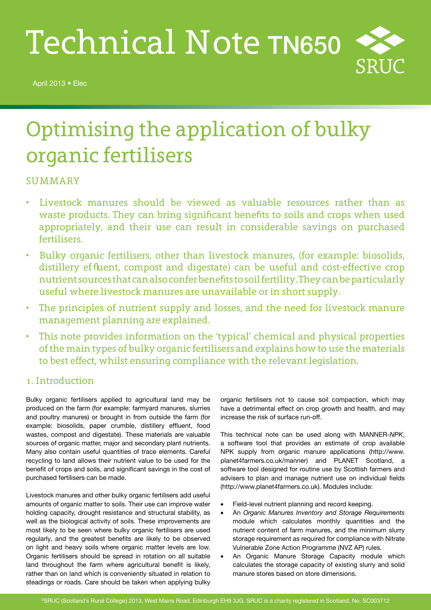# Technical Note TN650

April 2013 • Elec



# Optimising the application of bulky organic fertilisers

# **SUMMARY**

- Livestock manures should be viewed as valuable resources rather than as waste products. They can bring significant benefits to soils and crops when used appropriately, and their use can result in considerable savings on purchased fertilisers.
- Bulky organic fertilisers, other than livestock manures, (for example: biosolids, distillery effluent, compost and digestate) can be useful and cost-effective crop nutrient sources that can also confer benefits to soil fertility. They can be particularly useful where livestock manures are unavailable or in short supply.
- The principles of nutrient supply and losses, and the need for livestock manure management planning are explained.
- This note provides information on the 'typical' chemical and physical properties of the main types of bulky organic fertilisers and explains how to use the materials to best effect, whilst ensuring compliance with the relevant legislation.

# 1. Introduction

Bulky organic fertilisers applied to agricultural land may be produced on the farm (for example: farmyard manures, slurries and poultry manures) or brought in from outside the farm (for example: biosolids, paper crumble, distillery effluent, food wastes, compost and digestate). These materials are valuable sources of organic matter, major and secondary plant nutrients. Many also contain useful quantities of trace elements. Careful recycling to land allows their nutrient value to be used for the benefit of crops and soils, and significant savings in the cost of purchased fertilisers can be made.

Livestock manures and other bulky organic fertilisers add useful amounts of organic matter to soils. Their use can improve water holding capacity, drought resistance and structural stability, as well as the biological activity of soils. These improvements are most likely to be seen where bulky organic fertilisers are used regularly, and the greatest benefits are likely to be observed on light and heavy soils where organic matter levels are low. Organic fertilisers should be spread in rotation on all suitable land throughout the farm where agricultural benefit is likely, rather than on land which is conveniently situated in relation to steadings or roads. Care should be taken when applying bulky

organic fertilisers not to cause soil compaction, which may have a detrimental effect on crop growth and health, and may increase the risk of surface run-off.

This technical note can be used along with MANNER-*NPK*, a software tool that provides an estimate of crop available NPK supply from organic manure applications (http://www. planet4farmers.co.uk/manner) and PLANET Scotland, a software tool designed for routine use by Scottish farmers and advisers to plan and manage nutrient use on individual fields (http://www.planet4farmers.co.uk). Modules include:

- Field-level nutrient planning and record keeping.
- An *Organic Manures Inventory and Storage Requirements* module which calculates monthly quantities and the nutrient content of farm manures, and the minimum slurry storage requirement as required for compliance with Nitrate Vulnerable Zone Action Programme (NVZ AP) rules.
- An Organic Manure Storage Capacity module which calculates the storage capacity of existing slurry and solid manure stores based on store dimensions.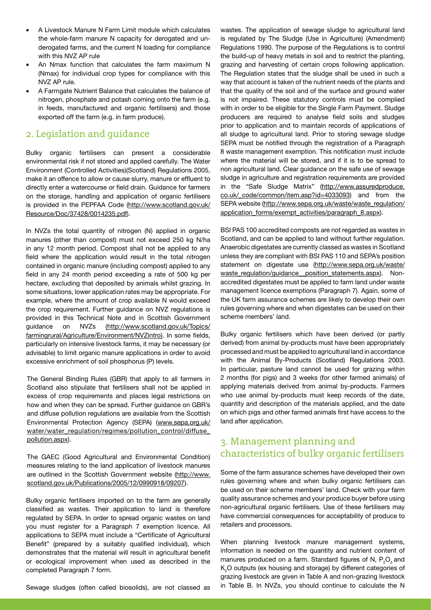- A Livestock Manure N Farm Limit module which calculates the whole-farm manure N capacity for derogated and underogated farms, and the current N loading for compliance with this NVZ AP rule
- An Nmax function that calculates the farm maximum N (Nmax) for individual crop types for compliance with this NVZ AP rule.
- A Farmgate Nutrient Balance that calculates the balance of nitrogen, phosphate and potash coming onto the farm (e.g. in feeds, manufactured and organic fertilisers) and those exported off the farm (e.g. in farm produce).

## 2. Legislation and guidance

Bulky organic fertilisers can present a considerable environmental risk if not stored and applied carefully. The Water Environment (Controlled Activities)(Scotland) Regulations 2005, make it an offence to allow or cause slurry, manure or effluent to directly enter a watercourse or field drain. Guidance for farmers on the storage, handling and application of organic fertilisers is provided in the PEPFAA Code (http://www.scotland.gov.uk/ Resource/Doc/37428/0014235.pdf).

In NVZs the total quantity of nitrogen (N) applied in organic manures (other than compost) must not exceed 250 kg N/ha in any 12 month period. Compost shall not be applied to any field where the application would result in the total nitrogen contained in organic manure (including compost) applied to any field in any 24 month period exceeding a rate of 500 kg per hectare, excluding that deposited by animals whilst grazing. In some situations, lower application rates may be appropriate. For example, where the amount of crop available N would exceed the crop requirement. Further guidance on NVZ regulations is provided in this Technical Note and in Scottish Government guidance on NVZs (http://www.scotland.gov.uk/Topics/ farmingrural/Agriculture/Environment/NVZintro). In some fields, particularly on intensive livestock farms, it may be necessary (or advisable) to limit organic manure applications in order to avoid excessive enrichment of soil phosphorus (P) levels.

The General Binding Rules (GBR) that apply to all farmers in Scotland also stipulate that fertilisers shall not be applied in excess of crop requirements and places legal restrictions on how and when they can be spread. Further guidance on GBR's and diffuse pollution regulations are available from the Scottish Environmental Protection Agency (SEPA) (www.sepa.org.uk/ water/water\_regulation/regimes/pollution\_control/diffuse\_ pollution.aspx).

The GAEC (Good Agricultural and Environmental Condition) measures relating to the land application of livestock manures are outlined in the Scottish Government website (http://www. scotland.gov.uk/Publications/2005/12/0990918/09207).

Bulky organic fertilisers imported on to the farm are generally classified as wastes. Their application to land is therefore regulated by SEPA. In order to spread organic wastes on land you must register for a Paragraph 7 exemption licence. All applications to SEPA must include a "Certificate of Agricultural Benefit" (prepared by a suitably qualified individual), which demonstrates that the material will result in agricultural benefit or ecological improvement when used as described in the completed Paragraph 7 form.

Sewage sludges (often called biosolids), are not classed as

wastes. The application of sewage sludge to agricultural land is regulated by The Sludge (Use in Agriculture) (Amendment) Regulations 1990. The purpose of the Regulations is to control the build-up of heavy metals in soil and to restrict the planting, grazing and harvesting of certain crops following application. The Regulation states that the sludge shall be used in such a way that account is taken of the nutrient needs of the plants and that the quality of the soil and of the surface and ground water is not impaired. These statutory controls must be complied with in order to be eligible for the Single Farm Payment. Sludge producers are required to analyse field soils and sludges prior to application and to maintain records of applications of all sludge to agricultural land. Prior to storing sewage sludge SEPA must be notified through the registration of a Paragraph 8 waste management exemption. This notification must include where the material will be stored, and if it is to be spread to non agricultural land. Clear guidance on the safe use of sewage sludge in agriculture and registration requirements are provided in the "Safe Sludge Matrix" (http://www.assuredproduce. co.uk/\_code/common/item.asp?id=4033093) and from the SEPA website (http://www.sepa.org.uk/waste/waste\_regulation/ application\_forms/exempt\_activities/paragraph\_8.aspx).

BSI PAS 100 accredited composts are not regarded as wastes in Scotland, and can be applied to land without further regulation. Anaerobic digestates are currently classed as wastes in Scotland unless they are compliant with BSI PAS 110 and SEPA's position statement on digestate use (http://www.sepa.org.uk/waste/ waste\_regulation/guidance\_position\_statements.aspx). Nonaccredited digestates must be applied to farm land under waste management licence exemptions (Paragraph 7). Again, some of the UK farm assurance schemes are likely to develop their own rules governing where and when digestates can be used on their scheme members' land.

Bulky organic fertilisers which have been derived (or partly derived) from animal by-products must have been appropriately processed and must be applied to agricultural land in accordance with the Animal By-Products (Scotland) Regulations 2003. In particular, pasture land cannot be used for grazing within 2 months (for pigs) and 3 weeks (for other farmed animals) of applying materials derived from animal by-products. Farmers who use animal by-products must keep records of the date, quantity and description of the materials applied, and the date on which pigs and other farmed animals first have access to the land after application.

# 3. Management planning and characteristics of bulky organic fertilisers

Some of the farm assurance schemes have developed their own rules governing where and when bulky organic fertilisers can be used on their scheme members' land. Check with your farm quality assurance schemes and your produce buyer before using non-agricultural organic fertilisers. Use of these fertilisers may have commercial consequences for acceptability of produce to retailers and processors.

When planning livestock manure management systems, information is needed on the quantity and nutrient content of manures produced on a farm. Standard figures of N,  $P_2O_5$  and  $\mathsf{K}_{2}$ O outputs (ex housing and storage) by different categories of grazing livestock are given in Table A and non-grazing livestock in Table B. In NVZs, you should continue to calculate the N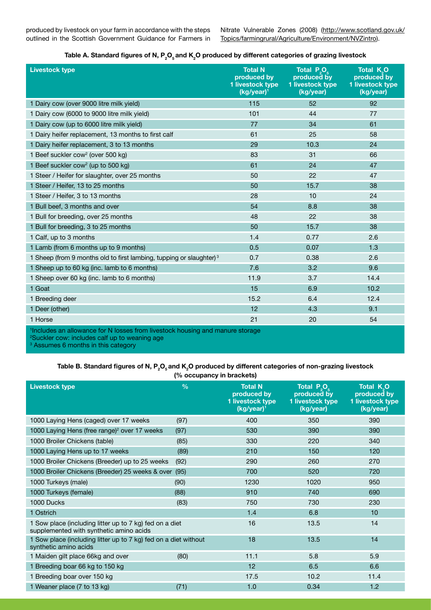produced by livestock on your farm in accordance with the steps outlined in the Scottish Government Guidance for Farmers in Nitrate Vulnerable Zones (2008) (http://www.scotland.gov.uk/ Topics/farmingrural/Agriculture/Environment/NVZintro).

| Table A. Standard figures of N, $P_2O_5$ and K <sub>2</sub> O produced by different categories of grazing livestock |  |
|---------------------------------------------------------------------------------------------------------------------|--|
|---------------------------------------------------------------------------------------------------------------------|--|

| <b>Livestock type</b>                                                                     | <b>Total N</b><br>produced by<br>1 livestock type<br>(kg/year) <sup>1</sup> | Total P <sub>.O.</sub><br>produced by<br>1 livestock type<br>(kg/year) | <b>Total K.O.</b><br>produced by<br>1 livestock type<br>(kg/year) |
|-------------------------------------------------------------------------------------------|-----------------------------------------------------------------------------|------------------------------------------------------------------------|-------------------------------------------------------------------|
| 1 Dairy cow (over 9000 litre milk yield)                                                  | 115                                                                         | 52                                                                     | 92                                                                |
| 1 Dairy cow (6000 to 9000 litre milk yield)                                               | 101                                                                         | 44                                                                     | 77                                                                |
| 1 Dairy cow (up to 6000 litre milk yield)                                                 | 77                                                                          | 34                                                                     | 61                                                                |
| 1 Dairy heifer replacement, 13 months to first calf                                       | 61                                                                          | 25                                                                     | 58                                                                |
| 1 Dairy heifer replacement, 3 to 13 months                                                | 29                                                                          | 10.3                                                                   | 24                                                                |
| 1 Beef suckler cow <sup>2</sup> (over 500 kg)                                             | 83                                                                          | 31                                                                     | 66                                                                |
| 1 Beef suckler cow <sup>2</sup> (up to 500 kg)                                            | 61                                                                          | 24                                                                     | 47                                                                |
| 1 Steer / Heifer for slaughter, over 25 months                                            | 50                                                                          | 22                                                                     | 47                                                                |
| 1 Steer / Heifer, 13 to 25 months                                                         | 50                                                                          | 15.7                                                                   | 38                                                                |
| 1 Steer / Heifer, 3 to 13 months                                                          | 28                                                                          | 10                                                                     | 24                                                                |
| 1 Bull beef, 3 months and over                                                            | 54                                                                          | 8.8                                                                    | 38                                                                |
| 1 Bull for breeding, over 25 months                                                       | 48                                                                          | 22                                                                     | 38                                                                |
| 1 Bull for breeding, 3 to 25 months                                                       | 50                                                                          | 15.7                                                                   | 38                                                                |
| 1 Calf, up to 3 months                                                                    | 1.4                                                                         | 0.77                                                                   | 2.6                                                               |
| 1 Lamb (from 6 months up to 9 months)                                                     | 0.5                                                                         | 0.07                                                                   | 1.3                                                               |
| 1 Sheep (from 9 months old to first lambing, tupping or slaughter) <sup>3</sup>           | 0.7                                                                         | 0.38                                                                   | 2.6                                                               |
| 1 Sheep up to 60 kg (inc. lamb to 6 months)                                               | 7.6                                                                         | 3.2                                                                    | 9.6                                                               |
| 1 Sheep over 60 kg (inc. lamb to 6 months)                                                | 11.9                                                                        | 3.7                                                                    | 14.4                                                              |
| 1 Goat                                                                                    | 15                                                                          | 6.9                                                                    | 10.2                                                              |
| 1 Breeding deer                                                                           | 15.2                                                                        | 6.4                                                                    | 12.4                                                              |
| 1 Deer (other)                                                                            | 12                                                                          | 4.3                                                                    | 9.1                                                               |
| 1 Horse                                                                                   | 21                                                                          | 20                                                                     | 54                                                                |
| <sup>1</sup> Includes an allowance for N losses from livestock housing and manure storage |                                                                             |                                                                        |                                                                   |

Includes an allowance for N losses from livestock housing and manure storage 2 Suckler cow: includes calf up to weaning age

<sup>3</sup> Assumes 6 months in this category

#### Table B. Standard figures of N, P<sub>2</sub>O<sub>s</sub> and K<sub>2</sub>O produced by different categories of non-grazing livestock **(% occupancy in brackets)**

| <b>Livestock type</b>                                                                              | $\frac{0}{0}$ | <b>Total N</b><br>produced by<br>1 livestock type<br>(kg/year) <sup>1</sup> | Total $P_{\alpha}O_{\alpha}$<br>produced by<br>1 livestock type<br>(kg/year) | Total K <sub>2</sub> O<br>produced by<br>1 livestock type<br>(kg/year) |
|----------------------------------------------------------------------------------------------------|---------------|-----------------------------------------------------------------------------|------------------------------------------------------------------------------|------------------------------------------------------------------------|
| 1000 Laying Hens (caged) over 17 weeks                                                             | (97)          | 400                                                                         | 350                                                                          | 390                                                                    |
| 1000 Laying Hens (free range) <sup>2</sup> over 17 weeks                                           | (97)          | 530                                                                         | 390                                                                          | 390                                                                    |
| 1000 Broiler Chickens (table)                                                                      | (85)          | 330                                                                         | 220                                                                          | 340                                                                    |
| 1000 Laying Hens up to 17 weeks                                                                    | (89)          | 210                                                                         | 150                                                                          | 120                                                                    |
| 1000 Broiler Chickens (Breeder) up to 25 weeks                                                     | (92)          | 290                                                                         | 260                                                                          | 270                                                                    |
| 1000 Broiler Chickens (Breeder) 25 weeks & over                                                    | (95)          | 700                                                                         | 520                                                                          | 720                                                                    |
| 1000 Turkeys (male)                                                                                | (90)          | 1230                                                                        | 1020                                                                         | 950                                                                    |
| 1000 Turkeys (female)                                                                              | (88)          | 910                                                                         | 740                                                                          | 690                                                                    |
| 1000 Ducks                                                                                         | (83)          | 750                                                                         | 730                                                                          | 230                                                                    |
| 1 Ostrich                                                                                          |               | 1.4                                                                         | 6.8                                                                          | 10                                                                     |
| 1 Sow place (including litter up to 7 kg) fed on a diet<br>supplemented with synthetic amino acids |               | 16                                                                          | 13.5                                                                         | 14                                                                     |
| 1 Sow place (including litter up to 7 kg) fed on a diet without<br>synthetic amino acids           |               | 18                                                                          | 13.5                                                                         | 14                                                                     |
| 1 Maiden gilt place 66kg and over                                                                  | (80)          | 11.1                                                                        | 5.8                                                                          | 5.9                                                                    |
| 1 Breeding boar 66 kg to 150 kg                                                                    |               | 12                                                                          | 6.5                                                                          | 6.6                                                                    |
| 1 Breeding boar over 150 kg                                                                        |               | 17.5                                                                        | 10.2                                                                         | 11.4                                                                   |
| 1 Weaner place (7 to 13 kg)                                                                        | (71)          | 1.0                                                                         | 0.34                                                                         | 1.2                                                                    |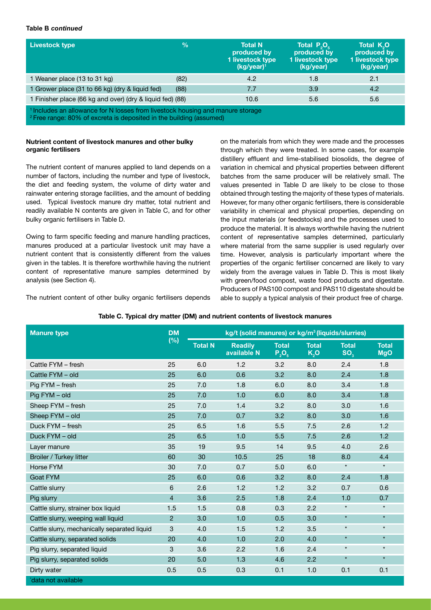#### **Table B** *continued*

| <b>Livestock type</b>                                                                                                                                                       | $\frac{0}{0}$ | <b>Total N</b><br>produced by<br>1 livestock type<br>$(kg/year)^1$ | Total $P_{\alpha}O_{\alpha}$<br>produced by<br>1 livestock type<br>(kg/year) | Total K <sub>2</sub> O<br>produced by<br>1 livestock type<br>(kg/year) |
|-----------------------------------------------------------------------------------------------------------------------------------------------------------------------------|---------------|--------------------------------------------------------------------|------------------------------------------------------------------------------|------------------------------------------------------------------------|
| 1 Weaner place (13 to 31 kg)                                                                                                                                                | (82)          | 4.2                                                                | 1.8                                                                          | 2.1                                                                    |
| 1 Grower place (31 to 66 kg) (dry & liquid fed)                                                                                                                             | (88)          | 7.7                                                                | 3.9                                                                          | 4.2                                                                    |
| 1 Finisher place (66 kg and over) (dry & liquid fed) (88)                                                                                                                   |               | 10.6                                                               | 5.6                                                                          | 5.6                                                                    |
| <sup>1</sup> Includes an allowance for N losses from livestock housing and manure storage<br><sup>2</sup> Free range: 80% of excreta is deposited in the building (assumed) |               |                                                                    |                                                                              |                                                                        |

#### **Nutrient content of livestock manures and other bulky organic fertilisers**

The nutrient content of manures applied to land depends on a number of factors, including the number and type of livestock, the diet and feeding system, the volume of dirty water and rainwater entering storage facilities, and the amount of bedding used. Typical livestock manure dry matter, total nutrient and readily available N contents are given in Table C, and for other bulky organic fertilisers in Table D.

Owing to farm specific feeding and manure handling practices, manures produced at a particular livestock unit may have a nutrient content that is consistently different from the values given in the tables. It is therefore worthwhile having the nutrient content of representative manure samples determined by analysis (see Section 4).

on the materials from which they were made and the processes through which they were treated. In some cases, for example distillery effluent and lime-stabilised biosolids, the degree of variation in chemical and physical properties between different batches from the same producer will be relatively small. The values presented in Table D are likely to be close to those obtained through testing the majority of these types of materials. However, for many other organic fertilisers, there is considerable variability in chemical and physical properties, depending on the input materials (or feedstocks) and the processes used to produce the material. It is always worthwhile having the nutrient content of representative samples determined, particularly where material from the same supplier is used regularly over time. However, analysis is particularly important where the properties of the organic fertiliser concerned are likely to vary widely from the average values in Table D. This is most likely with green/food compost, waste food products and digestate. Producers of PAS100 compost and PAS110 digestate should be able to supply a typical analysis of their product free of charge.

The nutrient content of other bulky organic fertilisers depends

|  | Table C. Typical dry matter (DM) and nutrient contents of livestock manures |
|--|-----------------------------------------------------------------------------|

| <b>Manure type</b>                           | <b>DM</b>      |                | kg/t (solid manures) or kg/m <sup>3</sup> (liquids/slurries) |                          |                                  |                                 |                            |
|----------------------------------------------|----------------|----------------|--------------------------------------------------------------|--------------------------|----------------------------------|---------------------------------|----------------------------|
|                                              | (%)            | <b>Total N</b> | <b>Readily</b><br>available N                                | <b>Total</b><br>$P_2O_5$ | <b>Total</b><br>K <sub>2</sub> O | <b>Total</b><br>SO <sub>3</sub> | <b>Total</b><br><b>MgO</b> |
| Cattle FYM - fresh                           | 25             | 6.0            | 1.2                                                          | 3.2                      | 8.0                              | 2.4                             | 1.8                        |
| Cattle FYM - old                             | 25             | 6.0            | 0.6                                                          | 3.2                      | 8.0                              | 2.4                             | 1.8                        |
| Pig FYM - fresh                              | 25             | 7.0            | 1.8                                                          | 6.0                      | 8.0                              | 3.4                             | 1.8                        |
| Pig FYM - old                                | 25             | 7.0            | 1.0                                                          | 6.0                      | 8.0                              | 3.4                             | 1.8                        |
| Sheep FYM - fresh                            | 25             | 7.0            | 1.4                                                          | 3.2                      | 8.0                              | 3.0                             | 1.6                        |
| Sheep FYM - old                              | 25             | 7.0            | 0.7                                                          | 3.2                      | 8.0                              | 3.0                             | 1.6                        |
| Duck FYM - fresh                             | 25             | 6.5            | 1.6                                                          | 5.5                      | 7.5                              | 2.6                             | 1.2                        |
| Duck FYM - old                               | 25             | 6.5            | 1.0                                                          | 5.5                      | 7.5                              | 2.6                             | 1.2                        |
| Layer manure                                 | 35             | 19             | 9.5                                                          | 14                       | 9.5                              | 4.0                             | 2.6                        |
| Broiler / Turkey litter                      | 60             | 30             | 10.5                                                         | 25                       | 18                               | 8.0                             | 4.4                        |
| Horse FYM                                    | 30             | 7.0            | 0.7                                                          | 5.0                      | 6.0                              | $\star$                         | $\star$                    |
| <b>Goat FYM</b>                              | 25             | 6.0            | 0.6                                                          | 3.2                      | 8.0                              | 2.4                             | 1.8                        |
| Cattle slurry                                | 6              | 2.6            | 1.2                                                          | 1.2                      | 3.2                              | 0.7                             | 0.6                        |
| Pig slurry                                   | $\overline{4}$ | 3.6            | 2.5                                                          | 1.8                      | 2.4                              | 1.0                             | 0.7                        |
| Cattle slurry, strainer box liquid           | 1.5            | 1.5            | 0.8                                                          | 0.3                      | 2.2                              | $\star$                         | $\star$                    |
| Cattle slurry, weeping wall liquid           | $\overline{c}$ | 3.0            | 1.0                                                          | 0.5                      | 3.0                              | $\star$                         | $\star$                    |
| Cattle slurry, mechanically separated liquid | 3              | 4.0            | 1.5                                                          | 1.2                      | 3.5                              | $\star$                         | $\star$                    |
| Cattle slurry, separated solids              | 20             | 4.0            | 1.0                                                          | 2.0                      | 4.0                              | $\star$                         | $\star$                    |
| Pig slurry, separated liquid                 | 3              | 3.6            | 2.2                                                          | 1.6                      | 2.4                              | $\star$                         | $\star$                    |
| Pig slurry, separated solids                 | 20             | 5.0            | 1.3                                                          | 4.6                      | 2.2                              | $\star$                         | $\star$                    |
| Dirty water                                  | 0.5            | 0.5            | 0.3                                                          | 0.1                      | 1.0                              | 0.1                             | 0.1                        |
| data not available                           |                |                |                                                              |                          |                                  |                                 |                            |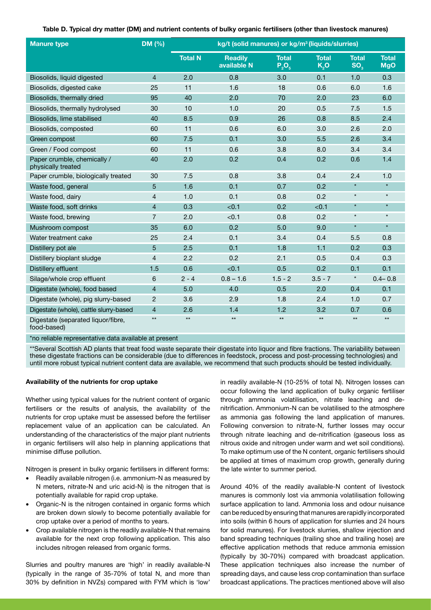|  |  | Table D. Typical dry matter (DM) and nutrient contents of bulky organic fertilisers (other than livestock manures) |
|--|--|--------------------------------------------------------------------------------------------------------------------|
|--|--|--------------------------------------------------------------------------------------------------------------------|

| <b>Manure type</b>                                | DM (%)         |                | kg/t (solid manures) or kg/m <sup>3</sup> (liquids/slurries) |                          |                      |                                 |                            |
|---------------------------------------------------|----------------|----------------|--------------------------------------------------------------|--------------------------|----------------------|---------------------------------|----------------------------|
|                                                   |                | <b>Total N</b> | <b>Readily</b><br>available N                                | <b>Total</b><br>$P_2O_5$ | <b>Total</b><br>K, O | <b>Total</b><br>SO <sub>3</sub> | <b>Total</b><br><b>MgO</b> |
| Biosolids, liquid digested                        | $\overline{4}$ | 2.0            | 0.8                                                          | 3.0                      | 0.1                  | 1.0                             | 0.3                        |
| Biosolids, digested cake                          | 25             | 11             | 1.6                                                          | 18                       | 0.6                  | 6.0                             | 1.6                        |
| Biosolids, thermally dried                        | 95             | 40             | 2.0                                                          | 70                       | 2.0                  | 23                              | 6.0                        |
| Biosolids, thermally hydrolysed                   | 30             | 10             | 1.0                                                          | 20                       | 0.5                  | 7.5                             | 1.5                        |
| Biosolids, lime stabilised                        | 40             | 8.5            | 0.9                                                          | 26                       | 0.8                  | 8.5                             | 2.4                        |
| Biosolids, composted                              | 60             | 11             | 0.6                                                          | 6.0                      | 3.0                  | 2.6                             | 2.0                        |
| Green compost                                     | 60             | 7.5            | 0.1                                                          | 3.0                      | 5.5                  | 2.6                             | 3.4                        |
| Green / Food compost                              | 60             | 11             | 0.6                                                          | 3.8                      | 8.0                  | 3.4                             | 3.4                        |
| Paper crumble, chemically /<br>physically treated | 40             | 2.0            | 0.2                                                          | 0.4                      | 0.2                  | 0.6                             | 1.4                        |
| Paper crumble, biologically treated               | 30             | 7.5            | 0.8                                                          | 3.8                      | 0.4                  | 2.4                             | 1.0                        |
| Waste food, general                               | 5              | 1.6            | 0.1                                                          | 0.7                      | 0.2                  | $\star$                         | $\star$                    |
| Waste food, dairy                                 | 4              | 1.0            | 0.1                                                          | 0.8                      | 0.2                  | $\star$                         | $\star$                    |
| Waste food, soft drinks                           | $\overline{4}$ | 0.3            | < 0.1                                                        | 0.2                      | < 0.1                | $\star$                         | $\star$                    |
| Waste food, brewing                               | $\overline{7}$ | 2.0            | < 0.1                                                        | 0.8                      | 0.2                  | $\star$                         | $\star$                    |
| Mushroom compost                                  | 35             | 6.0            | 0.2                                                          | 5.0                      | 9.0                  | $\star$                         | $\star$                    |
| Water treatment cake                              | 25             | 2.4            | 0.1                                                          | 3.4                      | 0.4                  | 5.5                             | 0.8                        |
| Distillery pot ale                                | 5              | 2.5            | 0.1                                                          | 1.8                      | 1.1                  | 0.2                             | 0.3                        |
| Distillery bioplant sludge                        | 4              | 2.2            | 0.2                                                          | 2.1                      | 0.5                  | 0.4                             | 0.3                        |
| Distillery effluent                               | 1.5            | 0.6            | < 0.1                                                        | 0.5                      | 0.2                  | 0.1                             | 0.1                        |
| Silage/whole crop effluent                        | 6              | $2 - 4$        | $0.8 - 1.6$                                                  | $1.5 - 2$                | $3.5 - 7$            | $\star$                         | $0.4 - 0.8$                |
| Digestate (whole), food based                     | 4              | 5.0            | 4.0                                                          | 0.5                      | 2.0                  | 0.4                             | 0.1                        |
| Digestate (whole), pig slurry-based               | $\overline{2}$ | 3.6            | 2.9                                                          | 1.8                      | 2.4                  | 1.0                             | 0.7                        |
| Digestate (whole), cattle slurry-based            | $\overline{4}$ | 2.6            | 1.4                                                          | 1.2                      | 3.2                  | 0.7                             | 0.6                        |
| Digestate (separated liquor/fibre,<br>food-based) | $\star\star$   | $\star\star$   | $\star\star$                                                 | $\star\star$             | $\star\star$         | $\star\star$                    | $\star\star$               |

\*no reliable representative data available at present

\*\*Several Scottish AD plants that treat food waste separate their digestate into liquor and fibre fractions. The variability between these digestate fractions can be considerable (due to differences in feedstock, process and post-processing technologies) and until more robust typical nutrient content data are available, we recommend that such products should be tested individually.

#### **Availability of the nutrients for crop uptake**

Whether using typical values for the nutrient content of organic fertilisers or the results of analysis, the availability of the nutrients for crop uptake must be assessed before the fertiliser replacement value of an application can be calculated. An understanding of the characteristics of the major plant nutrients in organic fertilisers will also help in planning applications that minimise diffuse pollution.

Nitrogen is present in bulky organic fertilisers in different forms:

- Readily available nitrogen (i.e. ammonium-N as measured by N meters, nitrate-N and uric acid-N) is the nitrogen that is potentially available for rapid crop uptake.
- Organic-N is the nitrogen contained in organic forms which are broken down slowly to become potentially available for crop uptake over a period of months to years.
- Crop available nitrogen is the readily available-N that remains available for the next crop following application. This also includes nitrogen released from organic forms.

Slurries and poultry manures are 'high' in readily available-N (typically in the range of 35-70% of total N, and more than 30% by definition in NVZs) compared with FYM which is 'low'

in readily available-N (10-25% of total N). Nitrogen losses can occur following the land application of bulky organic fertiliser through ammonia volatilisation, nitrate leaching and denitrification. Ammonium-N can be volatilised to the atmosphere as ammonia gas following the land application of manures. Following conversion to nitrate-N, further losses may occur through nitrate leaching and de-nitrification (gaseous loss as nitrous oxide and nitrogen under warm and wet soil conditions). To make optimum use of the N content, organic fertilisers should be applied at times of maximum crop growth, generally during the late winter to summer period.

Around 40% of the readily available-N content of livestock manures is commonly lost via ammonia volatilisation following surface application to land. Ammonia loss and odour nuisance can be reduced by ensuring that manures are rapidly incorporated into soils (within 6 hours of application for slurries and 24 hours for solid manures). For livestock slurries, shallow injection and band spreading techniques (trailing shoe and trailing hose) are effective application methods that reduce ammonia emission (typically by 30-70%) compared with broadcast application. These application techniques also increase the number of spreading days, and cause less crop contamination than surface broadcast applications. The practices mentioned above will also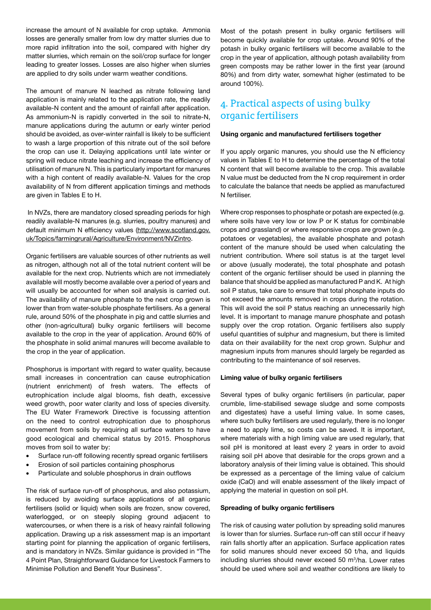increase the amount of N available for crop uptake. Ammonia losses are generally smaller from low dry matter slurries due to more rapid infiltration into the soil, compared with higher dry matter slurries, which remain on the soil/crop surface for longer leading to greater losses. Losses are also higher when slurries are applied to dry soils under warm weather conditions.

The amount of manure N leached as nitrate following land application is mainly related to the application rate, the readily available-N content and the amount of rainfall after application. As ammonium-N is rapidly converted in the soil to nitrate-N, manure applications during the autumn or early winter period should be avoided, as over-winter rainfall is likely to be sufficient to wash a large proportion of this nitrate out of the soil before the crop can use it. Delaying applications until late winter or spring will reduce nitrate leaching and increase the efficiency of utilisation of manure N. This is particularly important for manures with a high content of readily available-N. Values for the crop availability of N from different application timings and methods are given in Tables E to H.

 In NVZs, there are mandatory closed spreading periods for high readily available-N manures (e.g. slurries, poultry manures) and default minimum N efficiency values (http://www.scotland.gov. uk/Topics/farmingrural/Agriculture/Environment/NVZintro.

Organic fertilisers are valuable sources of other nutrients as well as nitrogen, although not all of the total nutrient content will be available for the next crop. Nutrients which are not immediately available will mostly become available over a period of years and will usually be accounted for when soil analysis is carried out. The availability of manure phosphate to the next crop grown is lower than from water-soluble phosphate fertilisers. As a general rule, around 50% of the phosphate in pig and cattle slurries and other (non-agricultural) bulky organic fertilisers will become available to the crop in the year of application. Around 60% of the phosphate in solid animal manures will become available to the crop in the year of application.

Phosphorus is important with regard to water quality, because small increases in concentration can cause eutrophication (nutrient enrichment) of fresh waters. The effects of eutrophication include algal blooms, fish death, excessive weed growth, poor water clarity and loss of species diversity. The EU Water Framework Directive is focussing attention on the need to control eutrophication due to phosphorus movement from soils by requiring all surface waters to have good ecological and chemical status by 2015. Phosphorus moves from soil to water by:

- Surface run-off following recently spread organic fertilisers
- Erosion of soil particles containing phosphorus
- Particulate and soluble phosphorus in drain outflows

The risk of surface run-off of phosphorus, and also potassium, is reduced by avoiding surface applications of all organic fertilisers (solid or liquid) when soils are frozen, snow covered, waterlogged, or on steeply sloping ground adjacent to watercourses, or when there is a risk of heavy rainfall following application. Drawing up a risk assessment map is an important starting point for planning the application of organic fertilisers, and is mandatory in NVZs. Similar guidance is provided in "The 4 Point Plan, Straightforward Guidance for Livestock Farmers to Minimise Pollution and Benefit Your Business".

Most of the potash present in bulky organic fertilisers will become quickly available for crop uptake. Around 90% of the potash in bulky organic fertilisers will become available to the crop in the year of application, although potash availability from green composts may be rather lower in the first year (around 80%) and from dirty water, somewhat higher (estimated to be around 100%).

# 4. Practical aspects of using bulky organic fertilisers

#### **Using organic and manufactured fertilisers together**

If you apply organic manures, you should use the N efficiency values in Tables E to H to determine the percentage of the total N content that will become available to the crop. This available N value must be deducted from the N crop requirement in order to calculate the balance that needs be applied as manufactured N fertiliser.

Where crop responses to phosphate or potash are expected (e.g. where soils have very low or low P or K status for combinable crops and grassland) or where responsive crops are grown (e.g. potatoes or vegetables), the available phosphate and potash content of the manure should be used when calculating the nutrient contribution. Where soil status is at the target level or above (usually moderate), the total phosphate and potash content of the organic fertiliser should be used in planning the balance that should be applied as manufactured P and K. At high soil P status, take care to ensure that total phosphate inputs do not exceed the amounts removed in crops during the rotation. This will avoid the soil P status reaching an unnecessarily high level. It is important to manage manure phosphate and potash supply over the crop rotation. Organic fertilisers also supply useful quantities of sulphur and magnesium, but there is limited data on their availability for the next crop grown. Sulphur and magnesium inputs from manures should largely be regarded as contributing to the maintenance of soil reserves.

#### **Liming value of bulky organic fertilisers**

Several types of bulky organic fertilisers (in particular, paper crumble, lime-stabilised sewage sludge and some composts and digestates) have a useful liming value. In some cases, where such bulky fertilisers are used regularly, there is no longer a need to apply lime, so costs can be saved. It is important, where materials with a high liming value are used regularly, that soil pH is monitored at least every 2 years in order to avoid raising soil pH above that desirable for the crops grown and a laboratory analysis of their liming value is obtained. This should be expressed as a percentage of the liming value of calcium oxide (CaO) and will enable assessment of the likely impact of applying the material in question on soil pH.

#### **Spreading of bulky organic fertilisers**

The risk of causing water pollution by spreading solid manures is lower than for slurries. Surface run-off can still occur if heavy rain falls shortly after an application. Surface application rates for solid manures should never exceed 50 t/ha, and liquids including slurries should never exceed 50 m<sup>3</sup>/ha. Lower rates should be used where soil and weather conditions are likely to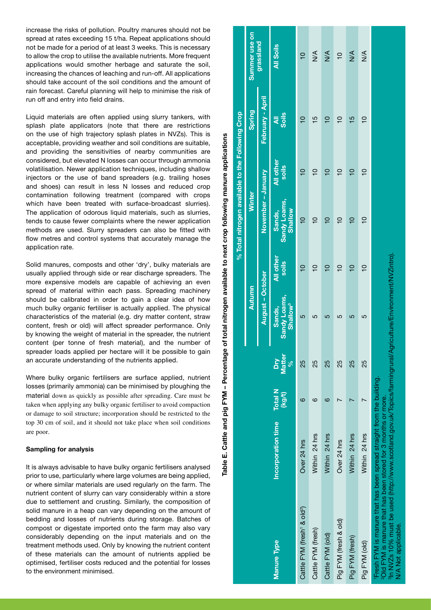increase the risks of pollution. Poultry manures should not be spread at rates exceeding 15 t/ha. Repeat applications should not be made for a period of at least 3 weeks. This is necessary to allow the crop to utilise the available nutrients. More frequent applications would smother herbage and saturate the soil, increasing the chances of leaching and run-off. All applications should take account of the soil conditions and the amount of rain forecast. Careful planning will help to minimise the risk of run off and entry into field drains.

Liquid materials are often applied using slurry tankers, with splash plate applicators (note that there are restrictions on the use of high trajectory splash plates in NVZs). This is acceptable, providing weather and soil conditions are suitable, and providing the sensitivities of nearby communities are considered, but elevated N losses can occur through ammonia volatilisation. Newer application techniques, including shallow injectors or the use of band spreaders (e.g. trailing hoses and shoes) can result in less N losses and reduced crop contamination following treatment (compared with crops which have been treated with surface-broadcast slurries). The application of odorous liquid materials, such as slurries, tends to cause fewer complaints where the newer application methods are used. Slurry spreaders can also be fitted with flow metres and control systems that accurately manage the application rate.

Solid manures, composts and other 'dry', bulky materials are usually applied through side or rear discharge spreaders. The more expensive models are capable of achieving an even spread of material within each pass. Spreading machinery should be calibrated in order to gain a clear idea of how much bulky organic fertiliser is actually applied. The physical characteristics of the material (e.g. dry matter content, straw content, fresh or old) will affect spreader performance. Only by knowing the weight of material in the spreader, the nutrient content (per tonne of fresh material), and the number of spreader loads applied per hectare will it be possible to gain an accurate understanding of the nutrients applied.

Where bulky organic fertilisers are surface applied, nutrient losses (primarily ammonia) can be minimised by ploughing the material down as quickly as possible after spreading. Care must be taken when applying any bulky organic fertiliser to avoid compaction or damage to soil structure; incorporation should be restricted to the top 30 cm of soil, and it should not take place when soil conditions are poor.

#### **Sampling for analysis**

It is always advisable to have bulky organic fertilisers analysed prior to use, particularly where large volumes are being applied, or where similar materials are used regularly on the farm. The nutrient content of slurry can vary considerably within a store due to settlement and crusting. Similarly, the composition of solid manure in a heap can vary depending on the amount of bedding and losses of nutrients during storage. Batches of compost or digestate imported onto the farm may also vary considerably depending on the input materials and on the treatment methods used. Only by knowing the nutrient content of these materials can the amount of nutrients applied be optimised, fertiliser costs reduced and the potential for losses to the environment minimised.

|                                                                                                                                                                                                                                                                                        |                           |                          |                                |                                                       |                           | % Total nitrogen available to the Following Crop |                    |                           |                |
|----------------------------------------------------------------------------------------------------------------------------------------------------------------------------------------------------------------------------------------------------------------------------------------|---------------------------|--------------------------|--------------------------------|-------------------------------------------------------|---------------------------|--------------------------------------------------|--------------------|---------------------------|----------------|
|                                                                                                                                                                                                                                                                                        |                           |                          |                                | <b>Autumn</b>                                         |                           | <b>Winter</b>                                    |                    | Spring                    | Summer use on  |
|                                                                                                                                                                                                                                                                                        |                           |                          |                                | August - October                                      |                           | November - January                               |                    | February - April          | grassland      |
| <b>Manure Type</b>                                                                                                                                                                                                                                                                     | <b>Incorporation time</b> | <b>Total N</b><br>(kg/t) | <b>Matter</b><br>ΔŊ<br>se<br>o | <b>Sandy Loams,</b><br>Shallow <sup>3</sup><br>Sands, | <b>All other</b><br>soils | <b>Sandy Loams,</b><br>Shallow<br>Sands,         | All other<br>soils | <b>Soils</b><br>$\bar{a}$ | All Soils      |
| Cattle FYM (fresh <sup>1</sup> & old <sup>2</sup> )                                                                                                                                                                                                                                    | Over 24 hrs               | ဖ                        | 25                             | 5                                                     |                           | $\overline{C}$                                   | $\frac{1}{2}$      | $\frac{1}{2}$             | $\overline{C}$ |
| Cattle FYM (fresh)                                                                                                                                                                                                                                                                     | Within 24 hrs             | ဖ                        | 25                             | ഥ                                                     | $\Xi$                     | ٥                                                | ٥                  | $\frac{5}{1}$             | $\frac{4}{2}$  |
| Cattle FYM (old)                                                                                                                                                                                                                                                                       | Within 24 hrs             | ဖ                        | 25                             | 5                                                     | $\frac{1}{1}$             | ₽                                                | $\overline{C}$     | $\overline{C}$            | $\frac{4}{2}$  |
| Pig FYM (fresh & old)                                                                                                                                                                                                                                                                  | Over 24 hrs               |                          | 25                             | 5                                                     | $\overline{C}$            | $\overline{C}$                                   | $\overline{C}$     | $\overline{C}$            | $\overline{C}$ |
| Pig FYM (fresh)                                                                                                                                                                                                                                                                        | Within 24 hrs             |                          | 25                             | 5                                                     | $\overline{C}$            | $\overline{C}$                                   | $\overline{C}$     | $\frac{5}{1}$             | $\frac{4}{2}$  |
| Pig FYM (old)                                                                                                                                                                                                                                                                          | Within 24 hrs             |                          | 25                             | 5                                                     | $\frac{1}{2}$             | $\overline{C}$                                   | $\overline{C}$     | $\overline{C}$            | $\frac{1}{2}$  |
| $^{\sf a}$ in NVZs 10% must be used (http://www.scotland.gov.uk/Topics/farmingrural/Agriculture/Environment/NVZIntro).<br>Fresh FYM is manure that has been spread straight from the building.<br>201d FYM is manure that has been stored for 3 months or more.<br>N/A Not applicable. |                           |                          |                                |                                                       |                           |                                                  |                    |                           |                |

**Table E. Cattle and pig FYM – Percentage of total nitrogen available to next crop following manure applications** 

E. Cattle and pig

**Table** 

FYM - Percentage of total nitrogen available to next crop following manure

applications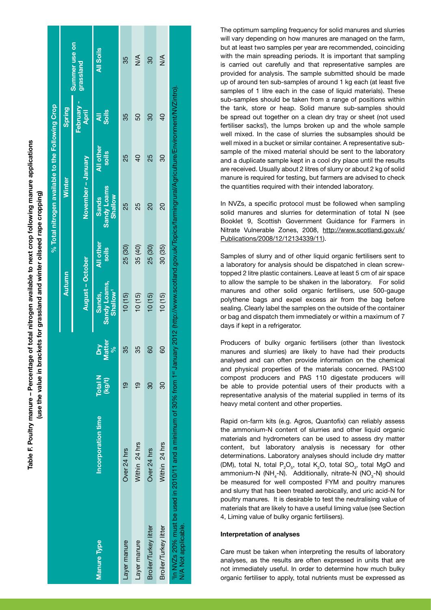| "In NVZs 20% must be used in 2010/11 and a minimum of 30% from 1*" January 2012 (http://www.scotland.gov.uk/Topics/farmingrural/Agriculture/Environment/NVZIntro).<br>All other<br>30 (35)<br>25 (30)<br>35 (40)<br>25 (30)<br>soils<br><b>Sandy Loams,</b><br>Shallow <sup>1</sup><br>Sands,<br>10(15)<br>10(15)<br>10(15)<br>10(15)<br>atter<br>λu<br>್ಗೆ<br>35<br>35<br>8<br>80<br><b>Total N</b><br>(kg/t)<br>80<br>80<br>_<br>ო<br>_<br>ო<br>Incorporation time<br>Within 24 hrs<br>Within 24 hrs<br>Over 24 hrs<br>Over 24 hrs |
|--------------------------------------------------------------------------------------------------------------------------------------------------------------------------------------------------------------------------------------------------------------------------------------------------------------------------------------------------------------------------------------------------------------------------------------------------------------------------------------------------------------------------------------|
|--------------------------------------------------------------------------------------------------------------------------------------------------------------------------------------------------------------------------------------------------------------------------------------------------------------------------------------------------------------------------------------------------------------------------------------------------------------------------------------------------------------------------------------|

**Table F. Poultry manure – Percentage of total nitrogen available to next crop following manure applications** 

rable F. Poultry manure – Percentage of total nitrogen available to next crop following manure applications

The optimum sampling frequency for solid manures and slurries will vary depending on how manures are managed on the farm. but at least two samples per year are recommended, coinciding with the main spreading periods. It is important that sampling is carried out carefully and that representative samples are provided for analysis. The sample submitted should be made up of around ten sub-samples of around 1 kg each (at least five samples of 1 litre each in the case of liquid materials). These sub-samples should be taken from a range of positions within the tank, store or heap. Solid manure sub-samples should be spread out together on a clean dry tray or sheet (not used fertiliser sacks!), the lumps broken up and the whole sample well mixed. In the case of slurries the subsamples should be well mixed in a bucket or similar container. A representative subsample of the mixed material should be sent to the laboratory and a duplicate sample kept in a cool dry place until the results are received. Usually about 2 litres of slurry or about 2 kg of solid manure is required for testing, but farmers are advised to check the quantities required with their intended laboratory.

In NVZs, a specific protocol must be followed when sampling solid manures and slurries for determination of total N (see Booklet 9, Scottish Government Guidance for Farmers in Nitrate Vulnerable Zones, 2008, http://www.scotland.gov.uk/ Publications/2008/12/12134339/11).

Samples of slurry and of other liquid organic fertilisers sent to a laboratory for analysis should be dispatched in clean screwtopped 2 litre plastic containers. Leave at least 5 cm of air space to allow the sample to be shaken in the laboratory. For solid manures and other solid organic fertilisers, use 500-gauge polythene bags and expel excess air from the bag before sealing. Clearly label the samples on the outside of the container or bag and dispatch them immediately or within a maximum of 7 days if kept in a refrigerator.

Producers of bulky organic fertilisers (other than livestock manures and slurries) are likely to have had their products analysed and can often provide information on the chemical and physical properties of the materials concerned. PAS100 compost producers and PAS 110 digestate producers will be able to provide potential users of their products with a representative analysis of the material supplied in terms of its heavy metal content and other properties.

Rapid on-farm kits (e.g. Agros, Quantofix) can reliably assess the ammonium-N content of slurries and other liquid organic materials and hydrometers can be used to assess dry matter content, but laboratory analysis is necessary for other determinations. Laboratory analyses should include dry matter (DM), total N, total  $P_2O_5$ , total  $K_2O$ , total SO<sub>3</sub>, total MgO and ammonium-N (NH<sub>4</sub>-N). Additionally, nitrate-N (NO<sub>3</sub>-N) should be measured for well composted FYM and poultry manures and slurry that has been treated aerobically, and uric acid-N for poultry manures. It is desirable to test the neutralising value of materials that are likely to have a useful liming value (see Section 4, Liming value of bulky organic fertilisers).

#### **Interpretation of analyses**

Care must be taken when interpreting the results of laboratory analyses, as the results are often expressed in units that are not immediately useful. In order to determine how much bulky organic fertiliser to apply, total nutrients must be expressed as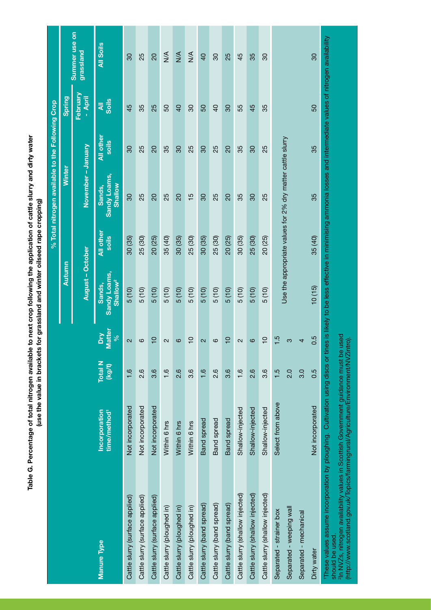Table G. Percentage of total nitrogen available to next crop following the application of cattle slurry and dirty water<br>(use the value in brackets for grassland and winter oilseed rape cropping) **Table G. Percentage of total nitrogen available to next crop following the application of cattle slurry and dirty water (use the value in brackets for grassland and winter oilseed rape cropping)**

|                                                                                                                                                                                                                                                                                                                                                                                                     |                                           |                          |                          |                                                |                           | % Total nitrogen available to the Following Crop           |                    |                     |                                   |
|-----------------------------------------------------------------------------------------------------------------------------------------------------------------------------------------------------------------------------------------------------------------------------------------------------------------------------------------------------------------------------------------------------|-------------------------------------------|--------------------------|--------------------------|------------------------------------------------|---------------------------|------------------------------------------------------------|--------------------|---------------------|-----------------------------------|
|                                                                                                                                                                                                                                                                                                                                                                                                     |                                           |                          |                          | Autumn                                         |                           | Winter                                                     |                    | <b>Spring</b>       |                                   |
|                                                                                                                                                                                                                                                                                                                                                                                                     |                                           |                          |                          | August - October                               |                           | November-January                                           |                    | February<br>- April | <b>Summer</b> use on<br>grassland |
| Manure Type                                                                                                                                                                                                                                                                                                                                                                                         | Incorporation<br>time/method <sup>1</sup> | <b>Total N</b><br>(kg/t) | Matter<br>Σ<br>$\infty$  | Sandy Loams,<br>Shallow <sup>2</sup><br>Sands, | <b>All other</b><br>soils | Sandy Loams,<br><b>Shallow</b><br>Sands,                   | All other<br>soils | <b>zis</b>          | All Soils                         |
| Cattle slurry (surface applied)                                                                                                                                                                                                                                                                                                                                                                     | Not incorporated                          | 1.6                      | $\overline{\mathsf{c}}$  | 5(10)                                          | 30 (35)                   | 30                                                         | 80                 | 45                  | $\overline{30}$                   |
| Cattle slurry (surface applied)                                                                                                                                                                                                                                                                                                                                                                     | Not incorporated                          | $\frac{6}{2}$            | ဖ                        | 5(10)                                          | 25 (30)                   | 25                                                         | 25                 | 35                  | 25                                |
| Cattle slurry (surface applied)                                                                                                                                                                                                                                                                                                                                                                     | Not incorporated                          | $3.\overline{6}$         | $\overline{C}$           | 5(10)                                          | 20 (25)                   | $\overline{5}$                                             | $\overline{c}$     | 25                  | $\overline{0}$                    |
| Cattle slurry (ploughed in)                                                                                                                                                                                                                                                                                                                                                                         | Within 6 hrs                              | 1.6                      | $\mathbf{\Omega}$        | 5(10)                                          | 35 (40)                   | 25                                                         | 35                 | S <sub>0</sub>      | $\frac{4}{2}$                     |
| Cattle slurry (ploughed in)                                                                                                                                                                                                                                                                                                                                                                         | Within 6 hrs                              | 2.6                      | $\circ$                  | 5(10)                                          | 30 (35)                   | 20                                                         | 80                 | $\overline{a}$      | $\frac{4}{2}$                     |
| Cattle slurry (ploughed in)                                                                                                                                                                                                                                                                                                                                                                         | Within 6 hrs                              | 3.6                      | $\overline{C}$           | 5(10)                                          | 25 (30)                   | $\frac{5}{1}$                                              | 25                 | 30                  | $\frac{4}{2}$                     |
| Cattle slurry (band spread)                                                                                                                                                                                                                                                                                                                                                                         | <b>Band</b> spread                        | 1.6                      | $\overline{\mathcal{C}}$ | 5(10)                                          | 30 (35)                   | 80                                                         | 80                 | 50                  | $\overline{0}$                    |
| Cattle slurry (band spread)                                                                                                                                                                                                                                                                                                                                                                         | <b>Band</b> spread                        | $\frac{6}{2}$            | ဖ                        | 5 (10)                                         | 25 (30)                   | 25                                                         | 25                 | $\overline{6}$      | 30                                |
| Cattle slurry (band spread)                                                                                                                                                                                                                                                                                                                                                                         | <b>Band</b> spread                        | 3.6                      | $\overline{C}$           | 5(10)                                          | 20 (25)                   | $\overline{a}$                                             | $\overline{20}$    | $\overline{30}$     | 25                                |
| Cattle slurry (shallow injected)                                                                                                                                                                                                                                                                                                                                                                    | Shallow-injected                          | $\frac{6}{1}$            | $\mathbf{\Omega}$        | 5(10)                                          | 30 (35)                   | 35                                                         | 35                 | 55                  | 45                                |
| Cattle slurry (shallow injected)                                                                                                                                                                                                                                                                                                                                                                    | Shallow-injected                          | 2.6                      | $\circ$                  | 5(10)                                          | 25 (30)                   | $\overline{30}$                                            | $\overline{30}$    | 45                  | 35                                |
| Cattle slurry (shallow injected)                                                                                                                                                                                                                                                                                                                                                                    | Shallow-injected                          | 3.6                      | $\frac{1}{2}$            | 5(10)                                          | 20 (25)                   | 25                                                         | 25                 | 35                  | 80                                |
| Separated - strainer box                                                                                                                                                                                                                                                                                                                                                                            | Select from above                         | 1.5                      | $-1.5$                   |                                                |                           |                                                            |                    |                     |                                   |
| Separated - weeping wall                                                                                                                                                                                                                                                                                                                                                                            |                                           | 2.0                      | ო                        |                                                |                           | Use the appropriate values for 2% dry matter cattle slurry |                    |                     |                                   |
| Separated - mechanical                                                                                                                                                                                                                                                                                                                                                                              |                                           | 3.0                      | 4                        |                                                |                           |                                                            |                    |                     |                                   |
| Dirty water                                                                                                                                                                                                                                                                                                                                                                                         | Not incorporated                          | 0.5                      | 0.5                      | 10(15)                                         | 35 (40)                   | 35                                                         | 35                 | 50                  | 30                                |
| These values assume incorporation by ploughing. Cultivation using discs or tines is likely to be less effective in minimising ammonia losses and intermediate values of nitrogen availability<br>http://www.scotland.gov.uk/Topics/farmingrural/Agriculture/Environment/NVZintro).<br><sup>2</sup> In NVZs, nitrogen availability values in Scottish Government guidance must be<br>should be used. |                                           |                          | besn                     |                                                |                           |                                                            |                    |                     |                                   |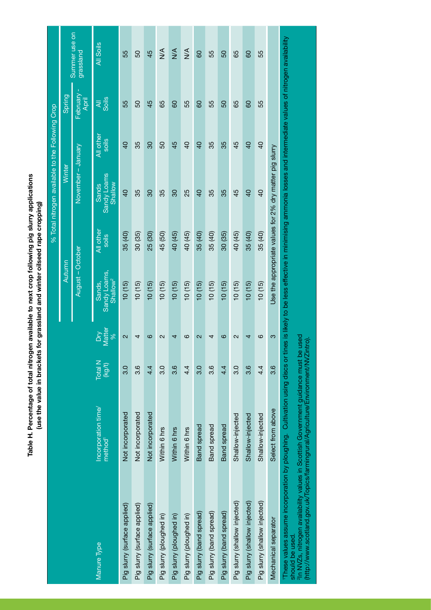Table H. Percentage of total nitrogen available to next crop following pig slurry applications<br>(use the value in brackets for grassland and winter oilseed rape cropping) **Table H. Percentage of total nitrogen available to next crop following pig slurry applications (use the value in brackets for grassland and winter oilseed rape cropping)**

|                                                                                                                                                                                                                                                                                          |                                            |                   |                         |                                                                                                                 |                    | % Total nitrogen available to the Following Crop        |                    |                         |                            |
|------------------------------------------------------------------------------------------------------------------------------------------------------------------------------------------------------------------------------------------------------------------------------------------|--------------------------------------------|-------------------|-------------------------|-----------------------------------------------------------------------------------------------------------------|--------------------|---------------------------------------------------------|--------------------|-------------------------|----------------------------|
|                                                                                                                                                                                                                                                                                          |                                            |                   |                         | Autumn                                                                                                          |                    | Winter                                                  |                    | Spring                  |                            |
|                                                                                                                                                                                                                                                                                          |                                            |                   |                         | August – October                                                                                                |                    | November – January                                      |                    | February<br>April       | Summer use on<br>grassland |
| Manure Type                                                                                                                                                                                                                                                                              | Incorporation time/<br>method <sup>1</sup> | Total N<br>(kg/t) | Matter<br>$\frac{8}{2}$ | Sandy Loams,<br>Shallow <sup>2</sup><br>Sands.                                                                  | All other<br>soils | Sandy Loams<br><b>Shallow</b><br>Sands                  | All other<br>soils | $\overline{4}$<br>Soils | All Soils                  |
| Pig slurry (surface applied)                                                                                                                                                                                                                                                             | Not incorporated                           | $\frac{0}{3}$     | $\overline{\mathsf{c}}$ | 10(15)                                                                                                          | 35 (40)            | $\overline{Q}$                                          | $\overline{Q}$     | 55                      | 55                         |
| Pig slurry (surface applied)                                                                                                                                                                                                                                                             | Not incorporated                           | 3.6               | 4                       | (10(15)                                                                                                         | 30 (35)            | 35                                                      | 35                 | 50                      | 50                         |
| Pig slurry (surface applied)                                                                                                                                                                                                                                                             | Not incorporated                           | 4.4               | ဖ                       | 10(15)                                                                                                          | 25 (30)            | 30                                                      | $\overline{30}$    | 45                      | 45                         |
| Pig slurry (ploughed in)                                                                                                                                                                                                                                                                 | Within 6 hrs                               | $\frac{0}{3}$     | 2                       | 10(15)                                                                                                          | 45 (50)            | 35                                                      | 50                 | 65                      | $\frac{1}{2}$              |
| Pig slurry (ploughed in)                                                                                                                                                                                                                                                                 | Within 6 hrs                               | 3.6               | 4                       | 10(15)                                                                                                          | 40 (45)            | 80                                                      | 45                 | 80                      | $\frac{4}{2}$              |
| Pig slurry (ploughed in)                                                                                                                                                                                                                                                                 | Within 6 hrs                               | $4\cdot$          | ဖ                       | 10(15)                                                                                                          | 40 (45)            | 25                                                      | $\overline{a}$     | 55                      | $\frac{1}{2}$              |
| Pig slury (band spread)                                                                                                                                                                                                                                                                  | <b>Band</b> spread                         | $\frac{0}{3}$     | $\mathbf{\Omega}$       | 10(15)                                                                                                          | 35 (40)            | $\overline{6}$                                          | $\overline{40}$    | 8                       | 80                         |
| Pig slurry (band spread)                                                                                                                                                                                                                                                                 | <b>Band</b> spread                         | 3.6               | 4                       | 10(15)                                                                                                          | 35 (40)            | 35                                                      | 35                 | 55                      | 55                         |
| Pig slury (band spread)                                                                                                                                                                                                                                                                  | <b>Band</b> spread                         | 4.4               | ဖ                       | 10(15)                                                                                                          | 30 (35)            | 35                                                      | 35                 | 50                      | 50                         |
| Pig slurry (shallow injected)                                                                                                                                                                                                                                                            | Shallow-injected                           | 3.0               | N                       | 10(15)                                                                                                          | 40 (45)            | 45                                                      | 45                 | 89                      | 65                         |
| Pig slurry (shallow injected)                                                                                                                                                                                                                                                            | Shallow-injected                           | 3.6               | 4                       | 10(15)                                                                                                          | 35 (40)            | $\overline{6}$                                          | $\overline{6}$     | 80                      | 80                         |
| Pig slurry (shallow injected)                                                                                                                                                                                                                                                            | Shallow-injected                           | $4\cdot$          | ဖ                       | 10(15)                                                                                                          | 35 (40)            | $\overline{6}$                                          | $\overline{6}$     | 55                      | 55                         |
| Mechanical separator                                                                                                                                                                                                                                                                     | Select from above                          | 3.6               | ო                       |                                                                                                                 |                    | Use the appropriate values for 2% dry matter pig slurry |                    |                         |                            |
| <sup>2</sup> In NVZs, nitrogen availability values in Scottish Government guidance must be used<br>http://www.scotland.gov.uk/Topics/farmingrural/Agriculture/Environment/NVZintro)<br>These values assume incorporation by ploughing. Cultivation using discs or tin<br>should be used. |                                            |                   |                         | es is likely to be less effective in minimising ammonia losses and intermediate values of nitrogen availability |                    |                                                         |                    |                         |                            |